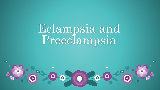Eclampsia and Preeclampsia

卷

\*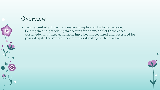### **Overview**

• Ten percent of all pregnancies are complicated by hypertension. Eclampsia and preeclampsia account for about half of these cases worldwide, and these conditions have been recognized and described for years despite the general lack of understanding of the disease

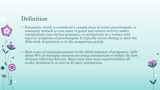### Definition

- Eclampsia, which is considered a complication of severe preeclampsia, is commonly defined as new onset of grand mal seizure activity and/or unexplained coma during pregnancy or postpartum in a woman with signs or symptoms of preeclampsia. It typically occurs during or after the 20th week of gestation or in the postpartum period.
- Most cases of eclampsia present in the third trimester of pregnancy, with about 80% of eclamptic seizures occurring intrapartum or within the first 48 hours following delivery. Rare cases have been reported before 20 weeks' gestation or as late as 23 days' postpartum.

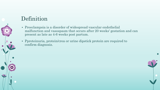### Definition

- Preeclampsia is a disorder of widespread vascular endothelial malfunction and vasospasm that occurs after 20 weeks' gestation and can present as late as 4-6 weeks post partum.
- Pproteinuria, protein/crea or urine dipstick protein are required to confirm diagnosis.

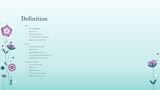### Definition

### • Mild:

- BP >140/90mmHg
- Edema  $+1/+2$
- Headache not present
- Visual disturbances not present
- Epigastric pain not present

### • Severe:

- BP diastolic >100mmHg
- Edema +3/+4
- Headache may be present
- Visual disturbances may be present

\*

• Epigastric pain may be present

### • Impending eclampsia:

- Diastolic >100mmHg,
- Edema +3/+4
- Headache present
- Visual disturbance present
- Epigastric pain present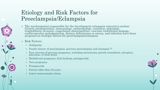### Etiology and Risk Factors for Preeclampsia/Eclampsia

- The mechanism(s) responsible for the development eclampsia remain(s) unclear. Genetic predisposition, immunology, endocrinology, nutrition, abnormal trophoblastic invasion, coagulation abnormalities, vascular endothelial damage, cardiovascular maladaptation, dietary deficiencies or excess, and infection have been proposed as etiologic factors for preeclampsia/eclampsia
- Risk Factors:
	- Nulliparity
	- Family history of preeclampsia, previous preeclampsia and eclampsia <sup>[2]</sup>
	- Poor outcome of previous pregnancy, including intrauterine growth retardation, abrupti[on](http://emedicine.medscape.com/article/404098-overview) placentae, or fetal death
	- Multifetetal pregnancy, fetal hydrops, primigravida
	- Teen pregnancy
	- Primigravida
	- Patient older than 35 years
	- Lower socioeconomic status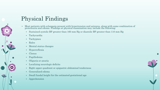# Physical Findings

- Most patients with eclampsia present with hypertension and seizures, along with some combination of proteinuria and edema. Findings at physical examination may include the following:
	- Sustained systolic BP greater than 160 mm Hg or diastolic BP greater than 110 mm Hg
	- Tachycardia
	- Tachypnea
	- Rales
	- Mental status changes
	- Hyperreflexia
	- Clonus
	- Papilledema
	- Oliguria or anuria
	- Localizing neurologic deficits
	- Right upper quadrant or epigastric abdominal tenderness
	- Generalized edema
	- Small fundal height for the estimated gestational age
	- Apprehension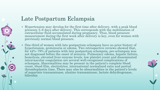### Late Postpartum Eclampsia

- Hypertension may develop for the first time after delivery, with a peak blood pressure 3–6 days after delivery. This corresponds with the mobilization of extracellular fluid accumulated during pregnancy. Thus, blood pressure measurement during the first week after delivery is key, even for women with previously normal blood pressure.
- One-third of women with late postpartum eclampsia have no prior history of hypertension, proteinuria or edema. Two retrospective reviews showed that, for 44%–79% of patients with late postpartum eclampsia, pre-eclampsia was not diagnosed before the onset of seizures. Pulmonary edema, hepatic failure, hemolysis, elevated liver enzyme levels, low platelet count and disseminated intravascular coagulation are several well-recognized complications of eclampsia. Abnormalities may be present in the patient's complete blood count, blood film, electrolytes, international normalized ratio and partial thromboplastin time. There may also be abnormalities in the patient's levels of aspartate transaminase, alanine transaminase, lactate dehydrogenase, bilirubin